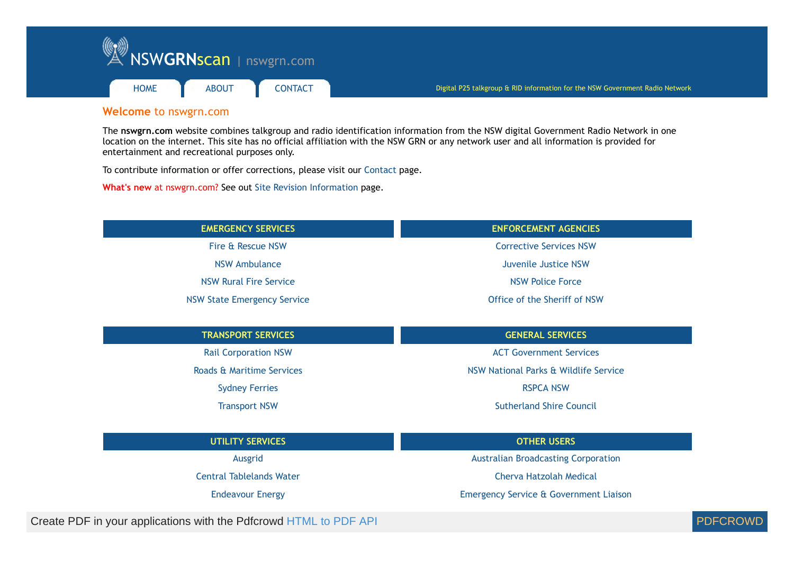

## **Welcome** to nswgrn.com

The **[nswgrn.com](https://www.nswgrn.com/)** website combines talkgroup and radio identification information from the NSW digital Government Radio Network in one location on the internet. This site has no official affiliation with the NSW GRN or any network user and all information is provided for entertainment and recreational purposes only.

To contribute information or offer corrections, please visit our [Contact](https://www.nswgrn.com/contact.html) page.

**What's new** at nswgrn.com? See out [Site Revision Information](https://www.nswgrn.com/revision.html) page.

| <b>EMERGENCY SERVICES</b>                                          | <b>ENFORCEMENT AGENCIES</b>                |  |
|--------------------------------------------------------------------|--------------------------------------------|--|
| Fire & Rescue NSW                                                  | <b>Corrective Services NSW</b>             |  |
| <b>NSW Ambulance</b>                                               | Juvenile Justice NSW                       |  |
| <b>NSW Rural Fire Service</b>                                      | <b>NSW Police Force</b>                    |  |
| <b>NSW State Emergency Service</b>                                 | Office of the Sheriff of NSW               |  |
| <b>TRANSPORT SERVICES</b>                                          | <b>GENERAL SERVICES</b>                    |  |
| <b>Rail Corporation NSW</b>                                        | <b>ACT Government Services</b>             |  |
| Roads & Maritime Services<br>NSW National Parks & Wildlife Service |                                            |  |
| <b>Sydney Ferries</b>                                              | <b>RSPCA NSW</b>                           |  |
| <b>Transport NSW</b>                                               | <b>Sutherland Shire Council</b>            |  |
| <b>UTILITY SERVICES</b>                                            | <b>OTHER USERS</b>                         |  |
| Ausgrid                                                            | <b>Australian Broadcasting Corporation</b> |  |

[Central Tablelands Water](https://www.nswgrn.com/central-water.html) [Cherva Hatzolah Medical](https://www.nswgrn.com/hatzolah.html)

[Endeavour Energy](https://www.nswgrn.com/endeavour.html) [Emergency Service & Government Liaison](https://www.nswgrn.com/eso-gl.html)

Create PDF in your applications with the Pdfcrowd [HTML to PDF API](https://pdfcrowd.com/doc/api/?ref=pdf) PDF API [PDFCROWD](https://pdfcrowd.com/?ref=pdf) PDFCROWD